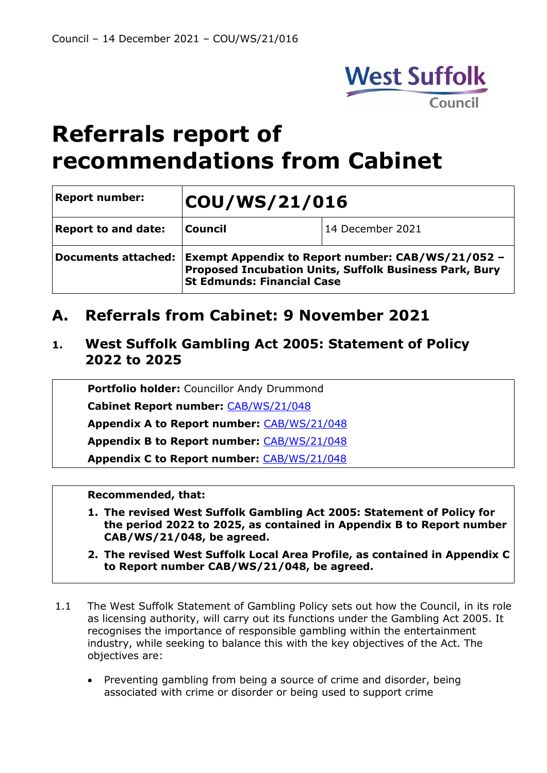

# **Referrals report of recommendations from Cabinet**

| <b>Report number:</b>      | COU/WS/21/016                                                                                                                                                        |                  |  |  |
|----------------------------|----------------------------------------------------------------------------------------------------------------------------------------------------------------------|------------------|--|--|
| <b>Report to and date:</b> | <b>Council</b>                                                                                                                                                       | 14 December 2021 |  |  |
|                            | Documents attached: Exempt Appendix to Report number: CAB/WS/21/052 -<br>Proposed Incubation Units, Suffolk Business Park, Bury<br><b>St Edmunds: Financial Case</b> |                  |  |  |

## **A. Referrals from Cabinet: 9 November 2021**

### **1. West Suffolk Gambling Act 2005: Statement of Policy 2022 to 2025**

**Portfolio holder:** Councillor Andy Drummond

**Cabinet Report number:** [CAB/WS/21/048](https://democracy.westsuffolk.gov.uk/documents/s41890/CAB.WS.21.048%20Gambling%20Statement%20of%20Licensing%20Policy.pdf)

**Appendix A to Report number:** [CAB/WS/21/048](https://democracy.westsuffolk.gov.uk/documents/s41891/CAB.WS.21.048%20Appendix%20A%20Gambling%20Act%202005%20-%20Consultation%20Response%20Summary.pdf) 

**Appendix B to Report number:** [CAB/WS/21/048](https://democracy.westsuffolk.gov.uk/documents/s41892/CAB.WS.21.048%20Appendix%20B%20West%20Suffolk%20Gambling%20Act%20Statement%20of%20Policy%202022%20to%202025.pdf)

**Appendix C to Report number:** [CAB/WS/21/048](https://democracy.westsuffolk.gov.uk/documents/s41893/CAB.WS.21.048%20Appendix%20C%20Draft%20West%20Suffolk%20Local%20Authority%20Profile%202021.pdf)

- **1. The revised West Suffolk Gambling Act 2005: Statement of Policy for the period 2022 to 2025, as contained in Appendix B to Report number CAB/WS/21/048, be agreed.**
- **2. The revised West Suffolk Local Area Profile, as contained in Appendix C to Report number CAB/WS/21/048, be agreed.**
- 1.1 The West Suffolk Statement of Gambling Policy sets out how the Council, in its role as licensing authority, will carry out its functions under the Gambling Act 2005. It recognises the importance of responsible gambling within the entertainment industry, while seeking to balance this with the key objectives of the Act. The objectives are:
	- Preventing gambling from being a source of crime and disorder, being associated with crime or disorder or being used to support crime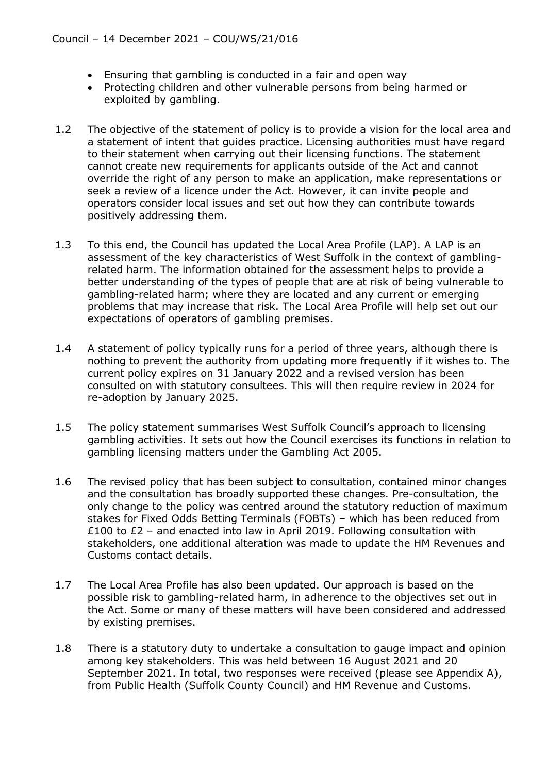- Ensuring that gambling is conducted in a fair and open way
- Protecting children and other vulnerable persons from being harmed or exploited by gambling.
- 1.2 The objective of the statement of policy is to provide a vision for the local area and a statement of intent that guides practice. Licensing authorities must have regard to their statement when carrying out their licensing functions. The statement cannot create new requirements for applicants outside of the Act and cannot override the right of any person to make an application, make representations or seek a review of a licence under the Act. However, it can invite people and operators consider local issues and set out how they can contribute towards positively addressing them.
- 1.3 To this end, the Council has updated the Local Area Profile (LAP). A LAP is an assessment of the key characteristics of West Suffolk in the context of gamblingrelated harm. The information obtained for the assessment helps to provide a better understanding of the types of people that are at risk of being vulnerable to gambling-related harm; where they are located and any current or emerging problems that may increase that risk. The Local Area Profile will help set out our expectations of operators of gambling premises.
- 1.4 A statement of policy typically runs for a period of three years, although there is nothing to prevent the authority from updating more frequently if it wishes to. The current policy expires on 31 January 2022 and a revised version has been consulted on with statutory consultees. This will then require review in 2024 for re-adoption by January 2025.
- 1.5 The policy statement summarises West Suffolk Council's approach to licensing gambling activities. It sets out how the Council exercises its functions in relation to gambling licensing matters under the Gambling Act 2005.
- 1.6 The revised policy that has been subject to consultation, contained minor changes and the consultation has broadly supported these changes. Pre-consultation, the only change to the policy was centred around the statutory reduction of maximum stakes for Fixed Odds Betting Terminals (FOBTs) – which has been reduced from £100 to £2 – and enacted into law in April 2019. Following consultation with stakeholders, one additional alteration was made to update the HM Revenues and Customs contact details.
- 1.7 The Local Area Profile has also been updated. Our approach is based on the possible risk to gambling-related harm, in adherence to the objectives set out in the Act. Some or many of these matters will have been considered and addressed by existing premises.
- 1.8 There is a statutory duty to undertake a consultation to gauge impact and opinion among key stakeholders. This was held between 16 August 2021 and 20 September 2021. In total, two responses were received (please see Appendix A), from Public Health (Suffolk County Council) and HM Revenue and Customs.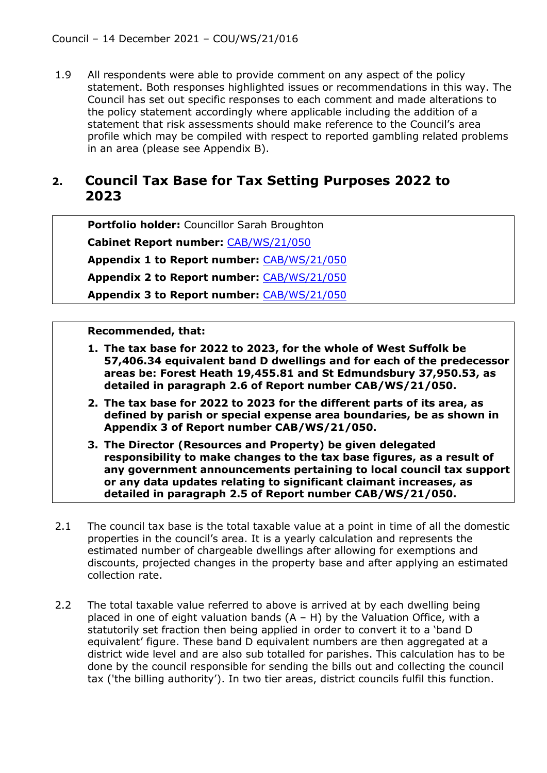1.9 All respondents were able to provide comment on any aspect of the policy statement. Both responses highlighted issues or recommendations in this way. The Council has set out specific responses to each comment and made alterations to the policy statement accordingly where applicable including the addition of a statement that risk assessments should make reference to the Council's area profile which may be compiled with respect to reported gambling related problems in an area (please see Appendix B).

### **2. Council Tax Base for Tax Setting Purposes 2022 to 2023**

**Portfolio holder:** Councillor Sarah Broughton

**Cabinet Report number:** [CAB/WS/21/050](https://democracy.westsuffolk.gov.uk/documents/s41907/CAB.WS.21.050%20Council%20Tax%20Base%20for%20Tax%20Setting%20Purposes%202022-2023.pdf)

**Appendix 1 to Report number:** [CAB/WS/21/050](https://democracy.westsuffolk.gov.uk/documents/s41898/CAB.WS.21.050%20Appendix%201%20-%20West%20Suffolk%20Council%20Tax%20Return%20as%20at%204%20October%202021.pdf)

**Appendix 2 to Report number:** [CAB/WS/21/050](https://democracy.westsuffolk.gov.uk/documents/s41899/CAB.WS.21.050%20Appendix%202%20-%20Distribution%20and%20Tax%20Base%20across%20Valuation%20Bands.pdf)

**Appendix 3 to Report number:** [CAB/WS/21/050](https://democracy.westsuffolk.gov.uk/documents/s41900/CAB.WS.21.050%20Appendix%203%20-%20Council%20Tax%20Base%20for%20Town%20and%20Parish%20Council%20Areas%20in%20West%20Suffolk.pdf)

- **1. The tax base for 2022 to 2023, for the whole of West Suffolk be 57,406.34 equivalent band D dwellings and for each of the predecessor areas be: Forest Heath 19,455.81 and St Edmundsbury 37,950.53, as detailed in paragraph 2.6 of Report number CAB/WS/21/050.**
- **2. The tax base for 2022 to 2023 for the different parts of its area, as defined by parish or special expense area boundaries, be as shown in Appendix 3 of Report number CAB/WS/21/050.**
- **3. The Director (Resources and Property) be given delegated responsibility to make changes to the tax base figures, as a result of any government announcements pertaining to local council tax support or any data updates relating to significant claimant increases, as detailed in paragraph 2.5 of Report number CAB/WS/21/050.**
- 2.1 The council tax base is the total taxable value at a point in time of all the domestic properties in the council's area. It is a yearly calculation and represents the estimated number of chargeable dwellings after allowing for exemptions and discounts, projected changes in the property base and after applying an estimated collection rate.
- 2.2 The total taxable value referred to above is arrived at by each dwelling being placed in one of eight valuation bands  $(A - H)$  by the Valuation Office, with a statutorily set fraction then being applied in order to convert it to a 'band D equivalent' figure. These band D equivalent numbers are then aggregated at a district wide level and are also sub totalled for parishes. This calculation has to be done by the council responsible for sending the bills out and collecting the council tax ('the billing authority'). In two tier areas, district councils fulfil this function.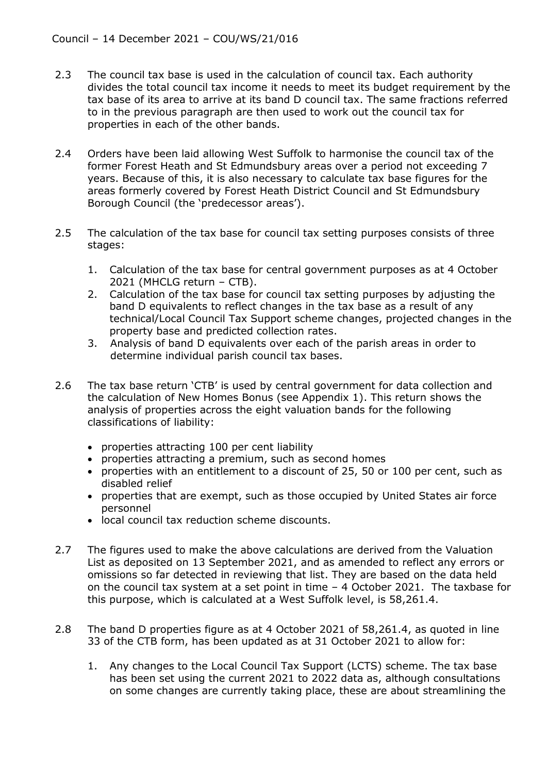- 2.3 The council tax base is used in the calculation of council tax. Each authority divides the total council tax income it needs to meet its budget requirement by the tax base of its area to arrive at its band D council tax. The same fractions referred to in the previous paragraph are then used to work out the council tax for properties in each of the other bands.
- 2.4 Orders have been laid allowing West Suffolk to harmonise the council tax of the former Forest Heath and St Edmundsbury areas over a period not exceeding 7 years. Because of this, it is also necessary to calculate tax base figures for the areas formerly covered by Forest Heath District Council and St Edmundsbury Borough Council (the 'predecessor areas').
- 2.5 The calculation of the tax base for council tax setting purposes consists of three stages:
	- 1. Calculation of the tax base for central government purposes as at 4 October 2021 (MHCLG return – CTB).
	- 2. Calculation of the tax base for council tax setting purposes by adjusting the band D equivalents to reflect changes in the tax base as a result of any technical/Local Council Tax Support scheme changes, projected changes in the property base and predicted collection rates.
	- 3. Analysis of band D equivalents over each of the parish areas in order to determine individual parish council tax bases.
- 2.6 The tax base return 'CTB' is used by central government for data collection and the calculation of New Homes Bonus (see Appendix 1). This return shows the analysis of properties across the eight valuation bands for the following classifications of liability:
	- properties attracting 100 per cent liability
	- properties attracting a premium, such as second homes
	- properties with an entitlement to a discount of 25, 50 or 100 per cent, such as disabled relief
	- properties that are exempt, such as those occupied by United States air force personnel
	- local council tax reduction scheme discounts.
- 2.7 The figures used to make the above calculations are derived from the Valuation List as deposited on 13 September 2021, and as amended to reflect any errors or omissions so far detected in reviewing that list. They are based on the data held on the council tax system at a set point in time – 4 October 2021. The taxbase for this purpose, which is calculated at a West Suffolk level, is 58,261.4.
- 2.8 The band D properties figure as at 4 October 2021 of 58,261.4, as quoted in line 33 of the CTB form, has been updated as at 31 October 2021 to allow for:
	- 1. Any changes to the Local Council Tax Support (LCTS) scheme. The tax base has been set using the current 2021 to 2022 data as, although consultations on some changes are currently taking place, these are about streamlining the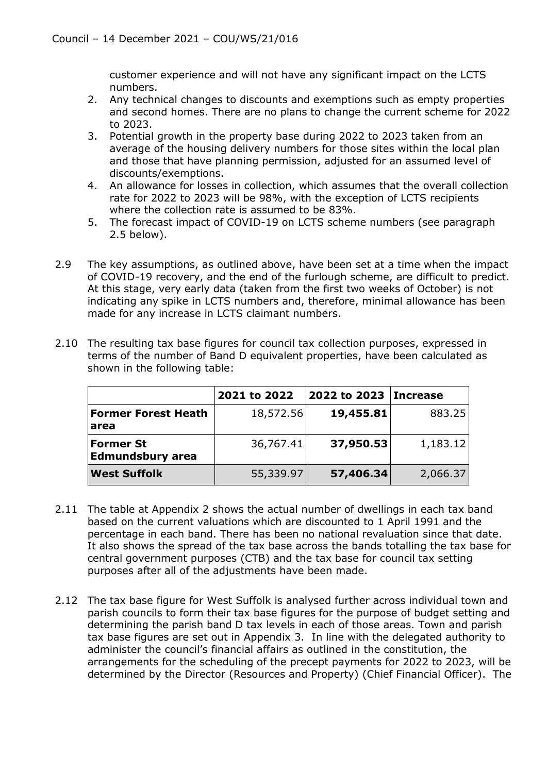customer experience and will not have any significant impact on the LCTS numbers.

- 2. Any technical changes to discounts and exemptions such as empty properties and second homes. There are no plans to change the current scheme for 2022 to 2023.
- 3. Potential growth in the property base during 2022 to 2023 taken from an average of the housing delivery numbers for those sites within the local plan and those that have planning permission, adjusted for an assumed level of discounts/exemptions.
- 4. An allowance for losses in collection, which assumes that the overall collection rate for 2022 to 2023 will be 98%, with the exception of LCTS recipients where the collection rate is assumed to be 83%.
- 5. The forecast impact of COVID-19 on LCTS scheme numbers (see paragraph 2.5 below).
- 2.9 The key assumptions, as outlined above, have been set at a time when the impact of COVID-19 recovery, and the end of the furlough scheme, are difficult to predict. At this stage, very early data (taken from the first two weeks of October) is not indicating any spike in LCTS numbers and, therefore, minimal allowance has been made for any increase in LCTS claimant numbers.

|                                             | 2021 to 2022 | 2022 to 2023 Increase |          |
|---------------------------------------------|--------------|-----------------------|----------|
| <b>Former Forest Heath</b><br>area          | 18,572.56    | 19,455.81             | 883.25   |
| <b>Former St</b><br><b>Edmundsbury area</b> | 36,767.41    | 37,950.53             | 1,183.12 |
| <b>West Suffolk</b>                         | 55,339.97    | 57,406.34             | 2,066.37 |

2.10 The resulting tax base figures for council tax collection purposes, expressed in terms of the number of Band D equivalent properties, have been calculated as shown in the following table:

- 2.11 The table at Appendix 2 shows the actual number of dwellings in each tax band based on the current valuations which are discounted to 1 April 1991 and the percentage in each band. There has been no national revaluation since that date. It also shows the spread of the tax base across the bands totalling the tax base for central government purposes (CTB) and the tax base for council tax setting purposes after all of the adjustments have been made.
- 2.12 The tax base figure for West Suffolk is analysed further across individual town and parish councils to form their tax base figures for the purpose of budget setting and determining the parish band D tax levels in each of those areas. Town and parish tax base figures are set out in Appendix 3. In line with the delegated authority to administer the council's financial affairs as outlined in the constitution, the arrangements for the scheduling of the precept payments for 2022 to 2023, will be determined by the Director (Resources and Property) (Chief Financial Officer). The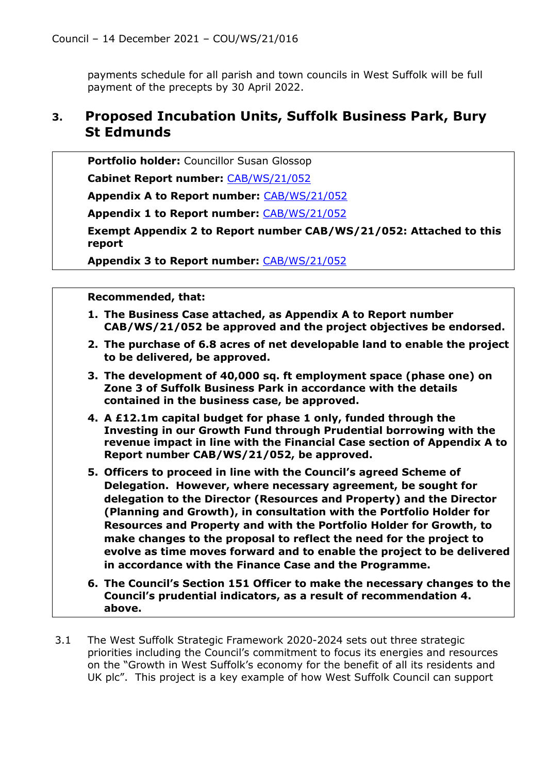payments schedule for all parish and town councils in West Suffolk will be full payment of the precepts by 30 April 2022.

### **3. Proposed Incubation Units, Suffolk Business Park, Bury St Edmunds**

**Portfolio holder:** Councillor Susan Glossop

**Cabinet Report number:** [CAB/WS/21/052](https://democracy.westsuffolk.gov.uk/documents/s41902/CAB.WS.21.052%20Proposed%20Incubation%20Units%20Suffolk%20Business%20Park%20Bury%20St%20Edmunds.pdf)

**Appendix A to Report number:** [CAB/WS/21/052](https://democracy.westsuffolk.gov.uk/documents/s41903/CAB.WS.21.052%20Appendix%20A%20-%20Business%20Case.pdf)

**Appendix 1 to Report number:** [CAB/WS/21/052](https://democracy.westsuffolk.gov.uk/documents/s41904/CAB.WS.21.052%20Appendix%201%20-%20Risk%20Register.pdf)

**Exempt Appendix 2 to Report number CAB/WS/21/052: Attached to this report**

**Appendix 3 to Report number:** [CAB/WS/21/052](https://democracy.westsuffolk.gov.uk/documents/s41905/CAB.WS.21.052%20Appendix%203%20-%20Outline%20Project%20Management%20Plan.pdf)

- **1. The Business Case attached, as Appendix A to Report number CAB/WS/21/052 be approved and the project objectives be endorsed.**
- **2. The purchase of 6.8 acres of net developable land to enable the project to be delivered, be approved.**
- **3. The development of 40,000 sq. ft employment space (phase one) on Zone 3 of Suffolk Business Park in accordance with the details contained in the business case, be approved.**
- **4. A £12.1m capital budget for phase 1 only, funded through the Investing in our Growth Fund through Prudential borrowing with the revenue impact in line with the Financial Case section of Appendix A to Report number CAB/WS/21/052, be approved.**
- **5. Officers to proceed in line with the Council's agreed Scheme of Delegation. However, where necessary agreement, be sought for delegation to the Director (Resources and Property) and the Director (Planning and Growth), in consultation with the Portfolio Holder for Resources and Property and with the Portfolio Holder for Growth, to make changes to the proposal to reflect the need for the project to evolve as time moves forward and to enable the project to be delivered in accordance with the Finance Case and the Programme.**
- **6. The Council's Section 151 Officer to make the necessary changes to the Council's prudential indicators, as a result of recommendation 4. above.**
- 3.1 The West Suffolk Strategic Framework 2020-2024 sets out three strategic priorities including the Council's commitment to focus its energies and resources on the "Growth in West Suffolk's economy for the benefit of all its residents and UK plc". This project is a key example of how West Suffolk Council can support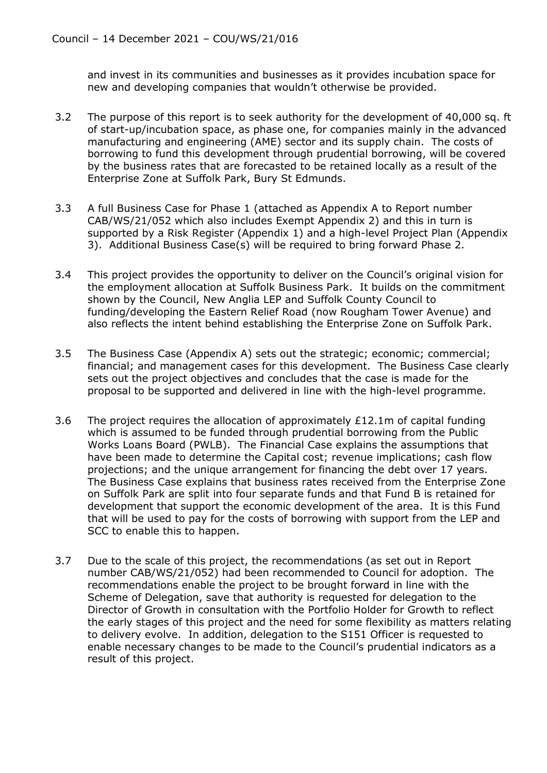and invest in its communities and businesses as it provides incubation space for new and developing companies that wouldn't otherwise be provided.

- 3.2 The purpose of this report is to seek authority for the development of 40,000 sq. ft of start-up/incubation space, as phase one, for companies mainly in the advanced manufacturing and engineering (AME) sector and its supply chain. The costs of borrowing to fund this development through prudential borrowing, will be covered by the business rates that are forecasted to be retained locally as a result of the Enterprise Zone at Suffolk Park, Bury St Edmunds.
- 3.3 A full Business Case for Phase 1 (attached as Appendix A to Report number CAB/WS/21/052 which also includes Exempt Appendix 2) and this in turn is supported by a Risk Register (Appendix 1) and a high-level Project Plan (Appendix 3). Additional Business Case(s) will be required to bring forward Phase 2.
- 3.4 This project provides the opportunity to deliver on the Council's original vision for the employment allocation at Suffolk Business Park. It builds on the commitment shown by the Council, New Anglia LEP and Suffolk County Council to funding/developing the Eastern Relief Road (now Rougham Tower Avenue) and also reflects the intent behind establishing the Enterprise Zone on Suffolk Park.
- 3.5 The Business Case (Appendix A) sets out the strategic; economic; commercial; financial; and management cases for this development. The Business Case clearly sets out the project objectives and concludes that the case is made for the proposal to be supported and delivered in line with the high-level programme.
- 3.6 The project requires the allocation of approximately £12.1m of capital funding which is assumed to be funded through prudential borrowing from the Public Works Loans Board (PWLB). The Financial Case explains the assumptions that have been made to determine the Capital cost; revenue implications; cash flow projections; and the unique arrangement for financing the debt over 17 years. The Business Case explains that business rates received from the Enterprise Zone on Suffolk Park are split into four separate funds and that Fund B is retained for development that support the economic development of the area. It is this Fund that will be used to pay for the costs of borrowing with support from the LEP and SCC to enable this to happen.
- 3.7 Due to the scale of this project, the recommendations (as set out in Report number CAB/WS/21/052) had been recommended to Council for adoption. The recommendations enable the project to be brought forward in line with the Scheme of Delegation, save that authority is requested for delegation to the Director of Growth in consultation with the Portfolio Holder for Growth to reflect the early stages of this project and the need for some flexibility as matters relating to delivery evolve. In addition, delegation to the S151 Officer is requested to enable necessary changes to be made to the Council's prudential indicators as a result of this project.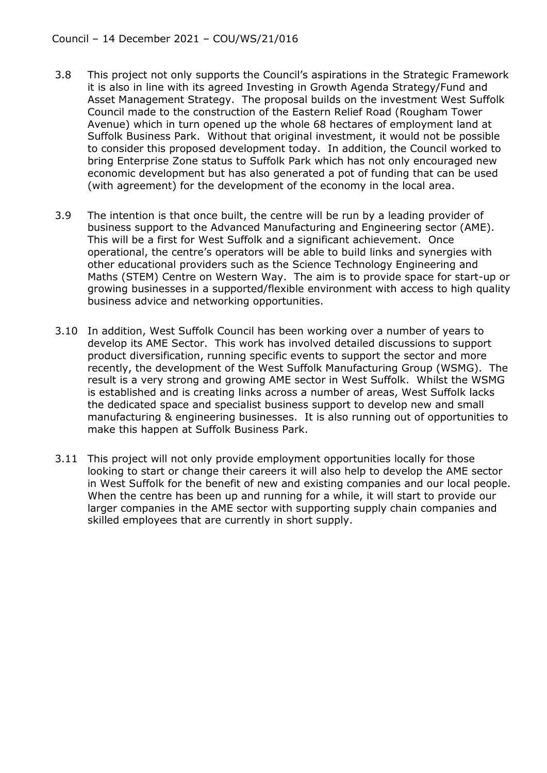- 3.8 This project not only supports the Council's aspirations in the Strategic Framework it is also in line with its agreed Investing in Growth Agenda Strategy/Fund and Asset Management Strategy. The proposal builds on the investment West Suffolk Council made to the construction of the Eastern Relief Road (Rougham Tower Avenue) which in turn opened up the whole 68 hectares of employment land at Suffolk Business Park. Without that original investment, it would not be possible to consider this proposed development today. In addition, the Council worked to bring Enterprise Zone status to Suffolk Park which has not only encouraged new economic development but has also generated a pot of funding that can be used (with agreement) for the development of the economy in the local area.
- 3.9 The intention is that once built, the centre will be run by a leading provider of business support to the Advanced Manufacturing and Engineering sector (AME). This will be a first for West Suffolk and a significant achievement. Once operational, the centre's operators will be able to build links and synergies with other educational providers such as the Science Technology Engineering and Maths (STEM) Centre on Western Way. The aim is to provide space for start-up or growing businesses in a supported/flexible environment with access to high quality business advice and networking opportunities.
- 3.10 In addition, West Suffolk Council has been working over a number of years to develop its AME Sector. This work has involved detailed discussions to support product diversification, running specific events to support the sector and more recently, the development of the West Suffolk Manufacturing Group (WSMG). The result is a very strong and growing AME sector in West Suffolk. Whilst the WSMG is established and is creating links across a number of areas, West Suffolk lacks the dedicated space and specialist business support to develop new and small manufacturing & engineering businesses. It is also running out of opportunities to make this happen at Suffolk Business Park.
- 3.11 This project will not only provide employment opportunities locally for those looking to start or change their careers it will also help to develop the AME sector in West Suffolk for the benefit of new and existing companies and our local people. When the centre has been up and running for a while, it will start to provide our larger companies in the AME sector with supporting supply chain companies and skilled employees that are currently in short supply.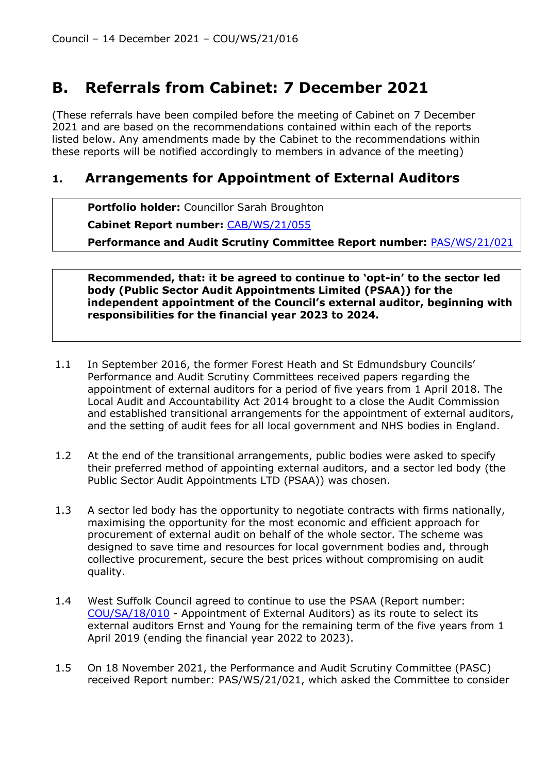# **B. Referrals from Cabinet: 7 December 2021**

(These referrals have been compiled before the meeting of Cabinet on 7 December 2021 and are based on the recommendations contained within each of the reports listed below. Any amendments made by the Cabinet to the recommendations within these reports will be notified accordingly to members in advance of the meeting)

### **1. Arrangements for Appointment of External Auditors**

**Portfolio holder:** Councillor Sarah Broughton

**Cabinet Report number:** [CAB/WS/21/055](https://democracy.westsuffolk.gov.uk/documents/s42335/CAB.WS.21.055%20Recs%20of%20PASC%2018%20Nov%202021%20-%20Arrangements%20for%20Appointment%20of%20External%20Auditors.pdf)

**Performance and Audit Scrutiny Committee Report number:** [PAS/WS/21/021](https://democracy.westsuffolk.gov.uk/documents/s41968/PAS.WS.21.021%20-%20Arrangements%20for%20Appontment%20of%20External%20Auditors.pdf)

**Recommended, that: it be agreed to continue to 'opt-in' to the sector led body (Public Sector Audit Appointments Limited (PSAA)) for the independent appointment of the Council's external auditor, beginning with responsibilities for the financial year 2023 to 2024.**

- 1.1 In September 2016, the former Forest Heath and St Edmundsbury Councils' Performance and Audit Scrutiny Committees received papers regarding the appointment of external auditors for a period of five years from 1 April 2018. The Local Audit and Accountability Act 2014 brought to a close the Audit Commission and established transitional arrangements for the appointment of external auditors, and the setting of audit fees for all local government and NHS bodies in England.
- 1.2 At the end of the transitional arrangements, public bodies were asked to specify their preferred method of appointing external auditors, and a sector led body (the Public Sector Audit Appointments LTD (PSAA)) was chosen.
- 1.3 A sector led body has the opportunity to negotiate contracts with firms nationally, maximising the opportunity for the most economic and efficient approach for procurement of external audit on behalf of the whole sector. The scheme was designed to save time and resources for local government bodies and, through collective procurement, secure the best prices without compromising on audit quality.
- 1.4 West Suffolk Council agreed to continue to use the PSAA (Report number: [COU/SA/18/010](https://democracy.westsuffolk.gov.uk/documents/s29870/COU.SA.18.010%20Referrals%20Report%20from%20Shadow%20Executive%20Cabinet.pdf) - Appointment of External Auditors) as its route to select its external auditors Ernst and Young for the remaining term of the five years from 1 April 2019 (ending the financial year 2022 to 2023).
- 1.5 On 18 November 2021, the Performance and Audit Scrutiny Committee (PASC) received Report number: PAS/WS/21/021, which asked the Committee to consider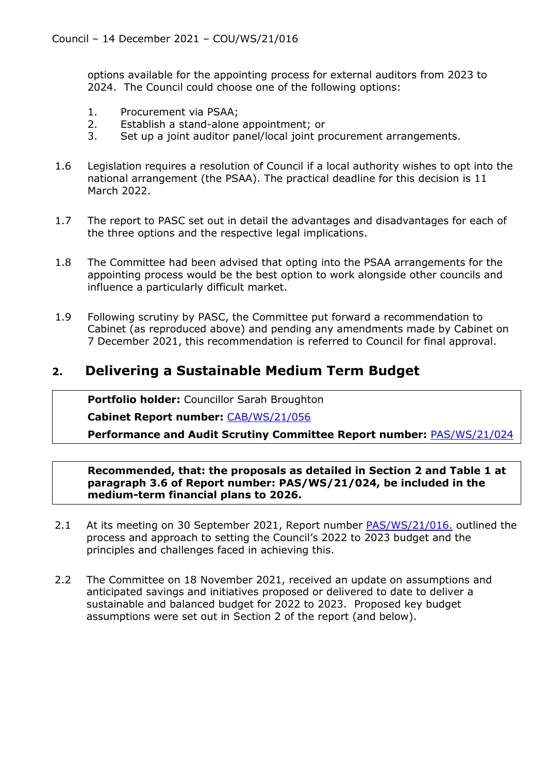options available for the appointing process for external auditors from 2023 to 2024. The Council could choose one of the following options:

- 1. Procurement via PSAA;
- 2. Establish a stand-alone appointment; or
- 3. Set up a joint auditor panel/local joint procurement arrangements.
- 1.6 Legislation requires a resolution of Council if a local authority wishes to opt into the national arrangement (the PSAA). The practical deadline for this decision is 11 March 2022.
- 1.7 The report to PASC set out in detail the advantages and disadvantages for each of the three options and the respective legal implications.
- 1.8 The Committee had been advised that opting into the PSAA arrangements for the appointing process would be the best option to work alongside other councils and influence a particularly difficult market.
- 1.9 Following scrutiny by PASC, the Committee put forward a recommendation to Cabinet (as reproduced above) and pending any amendments made by Cabinet on 7 December 2021, this recommendation is referred to Council for final approval.

### **2. Delivering a Sustainable Medium Term Budget**

**Portfolio holder:** Councillor Sarah Broughton

**Cabinet Report number:** [CAB/WS/21/056](https://democracy.westsuffolk.gov.uk/documents/s42332/CAB.WS.21.056%20Recs%20of%20PASC%2018%20Nov%202021%20-%20Delivering%20a%20Sustainable%20MediumTerm%20Budget.pdf)

**Performance and Audit Scrutiny Committee Report number:** [PAS/WS/21/024](https://democracy.westsuffolk.gov.uk/documents/s41985/PAS.WS.21.024%20-%20Delivering%20a%20Sustainable%20Budget%20-%2018%20November%202021.pdf)

**Recommended, that: the proposals as detailed in Section 2 and Table 1 at paragraph 3.6 of Report number: PAS/WS/21/024, be included in the medium-term financial plans to 2026.**

- 2.1 At its meeting on 30 September 2021, Report number [PAS/WS/21/016.](https://democracy.westsuffolk.gov.uk/documents/s41599/PAS.WS.21.016%20-%20Delivering%20a%20Sustainable%20Medium-Term%20Budget.pdf) outlined the process and approach to setting the Council's 2022 to 2023 budget and the principles and challenges faced in achieving this.
- 2.2 The Committee on 18 November 2021, received an update on assumptions and anticipated savings and initiatives proposed or delivered to date to deliver a sustainable and balanced budget for 2022 to 2023. Proposed key budget assumptions were set out in Section 2 of the report (and below).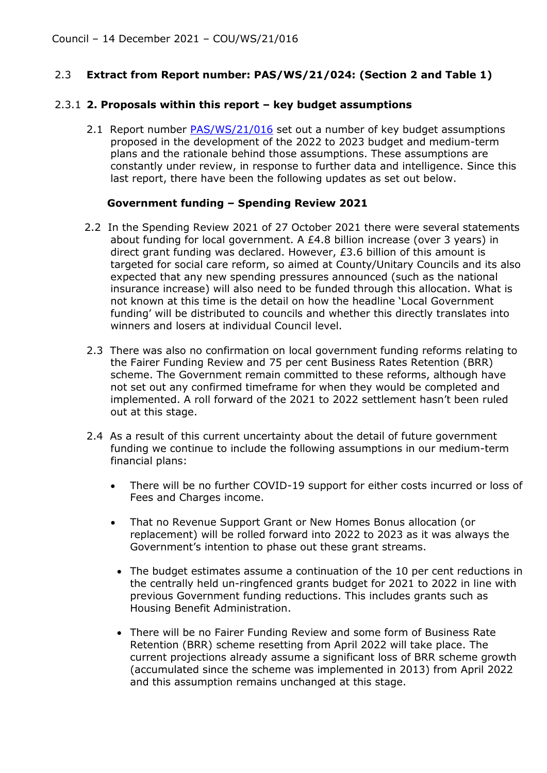### 2.3 **Extract from Report number: PAS/WS/21/024: (Section 2 and Table 1)**

#### 2.3.1 **2. Proposals within this report – key budget assumptions**

2.1 Report number *PAS/WS/21/016* set out a number of key budget assumptions proposed in the development of the 2022 to 2023 budget and medium-term plans and the rationale behind those assumptions. These assumptions are constantly under review, in response to further data and intelligence. Since this last report, there have been the following updates as set out below.

#### **Government funding – Spending Review 2021**

- 2.2 In the Spending Review 2021 of 27 October 2021 there were several statements about funding for local government. A £4.8 billion increase (over 3 years) in direct grant funding was declared. However, £3.6 billion of this amount is targeted for social care reform, so aimed at County/Unitary Councils and its also expected that any new spending pressures announced (such as the national insurance increase) will also need to be funded through this allocation. What is not known at this time is the detail on how the headline 'Local Government funding' will be distributed to councils and whether this directly translates into winners and losers at individual Council level.
- 2.3 There was also no confirmation on local government funding reforms relating to the Fairer Funding Review and 75 per cent Business Rates Retention (BRR) scheme. The Government remain committed to these reforms, although have not set out any confirmed timeframe for when they would be completed and implemented. A roll forward of the 2021 to 2022 settlement hasn't been ruled out at this stage.
- 2.4 As a result of this current uncertainty about the detail of future government funding we continue to include the following assumptions in our medium-term financial plans:
	- There will be no further COVID-19 support for either costs incurred or loss of Fees and Charges income.
	- That no Revenue Support Grant or New Homes Bonus allocation (or replacement) will be rolled forward into 2022 to 2023 as it was always the Government's intention to phase out these grant streams.
		- The budget estimates assume a continuation of the 10 per cent reductions in the centrally held un-ringfenced grants budget for 2021 to 2022 in line with previous Government funding reductions. This includes grants such as Housing Benefit Administration.
		- There will be no Fairer Funding Review and some form of Business Rate Retention (BRR) scheme resetting from April 2022 will take place. The current projections already assume a significant loss of BRR scheme growth (accumulated since the scheme was implemented in 2013) from April 2022 and this assumption remains unchanged at this stage.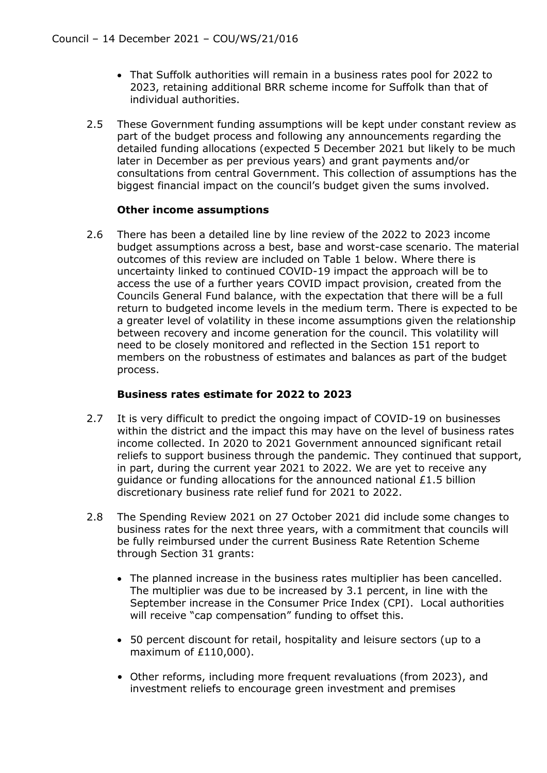- That Suffolk authorities will remain in a business rates pool for 2022 to 2023, retaining additional BRR scheme income for Suffolk than that of individual authorities.
- 2.5 These Government funding assumptions will be kept under constant review as part of the budget process and following any announcements regarding the detailed funding allocations (expected 5 December 2021 but likely to be much later in December as per previous years) and grant payments and/or consultations from central Government. This collection of assumptions has the biggest financial impact on the council's budget given the sums involved.

### **Other income assumptions**

2.6 There has been a detailed line by line review of the 2022 to 2023 income budget assumptions across a best, base and worst-case scenario. The material outcomes of this review are included on Table 1 below. Where there is uncertainty linked to continued COVID-19 impact the approach will be to access the use of a further years COVID impact provision, created from the Councils General Fund balance, with the expectation that there will be a full return to budgeted income levels in the medium term. There is expected to be a greater level of volatility in these income assumptions given the relationship between recovery and income generation for the council. This volatility will need to be closely monitored and reflected in the Section 151 report to members on the robustness of estimates and balances as part of the budget process.

### **Business rates estimate for 2022 to 2023**

- 2.7 It is very difficult to predict the ongoing impact of COVID-19 on businesses within the district and the impact this may have on the level of business rates income collected. In 2020 to 2021 Government announced significant retail reliefs to support business through the pandemic. They continued that support, in part, during the current year 2021 to 2022. We are yet to receive any guidance or funding allocations for the announced national £1.5 billion discretionary business rate relief fund for 2021 to 2022.
- 2.8 The Spending Review 2021 on 27 October 2021 did include some changes to business rates for the next three years, with a commitment that councils will be fully reimbursed under the current Business Rate Retention Scheme through Section 31 grants:
	- The planned increase in the business rates multiplier has been cancelled. The multiplier was due to be increased by 3.1 percent, in line with the September increase in the Consumer Price Index (CPI). Local authorities will receive "cap compensation" funding to offset this.
	- 50 percent discount for retail, hospitality and leisure sectors (up to a maximum of £110,000).
	- Other reforms, including more frequent revaluations (from 2023), and investment reliefs to encourage green investment and premises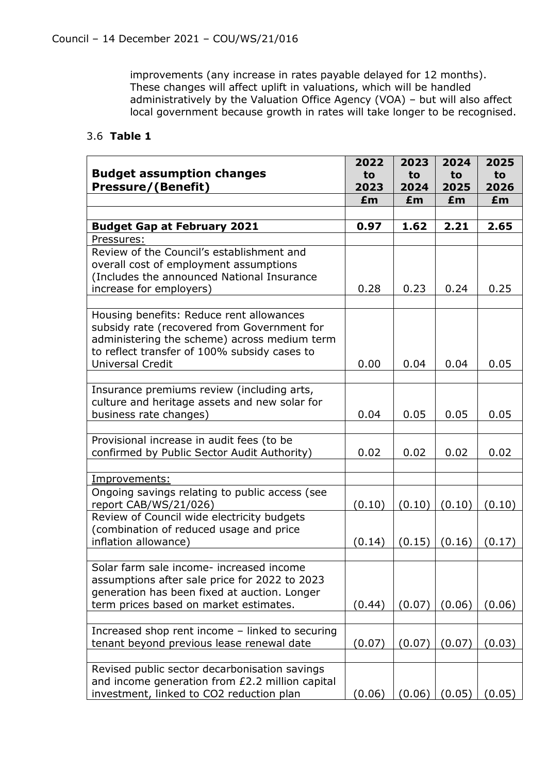improvements (any increase in rates payable delayed for 12 months). These changes will affect uplift in valuations, which will be handled administratively by the Valuation Office Agency (VOA) – but will also affect local government because growth in rates will take longer to be recognised.

### 3.6 **Table 1**

|                                                                                                                                                                                                                    | 2022   | 2023   | 2024   | 2025   |
|--------------------------------------------------------------------------------------------------------------------------------------------------------------------------------------------------------------------|--------|--------|--------|--------|
| <b>Budget assumption changes</b>                                                                                                                                                                                   | to     | to     | to     | to     |
| <b>Pressure/(Benefit)</b>                                                                                                                                                                                          | 2023   | 2024   | 2025   | 2026   |
|                                                                                                                                                                                                                    | £m     | £m     | £m     | £m     |
|                                                                                                                                                                                                                    |        |        |        |        |
| <b>Budget Gap at February 2021</b>                                                                                                                                                                                 | 0.97   | 1.62   | 2.21   | 2.65   |
| Pressures:                                                                                                                                                                                                         |        |        |        |        |
| Review of the Council's establishment and<br>overall cost of employment assumptions<br>(Includes the announced National Insurance<br>increase for employers)                                                       | 0.28   | 0.23   | 0.24   | 0.25   |
|                                                                                                                                                                                                                    |        |        |        |        |
| Housing benefits: Reduce rent allowances<br>subsidy rate (recovered from Government for<br>administering the scheme) across medium term<br>to reflect transfer of 100% subsidy cases to<br><b>Universal Credit</b> | 0.00   | 0.04   | 0.04   | 0.05   |
|                                                                                                                                                                                                                    |        |        |        |        |
| Insurance premiums review (including arts,<br>culture and heritage assets and new solar for<br>business rate changes)                                                                                              | 0.04   | 0.05   | 0.05   | 0.05   |
|                                                                                                                                                                                                                    |        |        |        |        |
| Provisional increase in audit fees (to be<br>confirmed by Public Sector Audit Authority)                                                                                                                           | 0.02   | 0.02   | 0.02   | 0.02   |
|                                                                                                                                                                                                                    |        |        |        |        |
| Improvements:                                                                                                                                                                                                      |        |        |        |        |
| Ongoing savings relating to public access (see<br>report CAB/WS/21/026)                                                                                                                                            | (0.10) | (0.10) | (0.10) | (0.10) |
| Review of Council wide electricity budgets<br>(combination of reduced usage and price                                                                                                                              |        |        |        |        |
| inflation allowance)                                                                                                                                                                                               | (0.14) | (0.15) | (0.16) | (0.17) |
|                                                                                                                                                                                                                    |        |        |        |        |
| Solar farm sale income- increased income<br>assumptions after sale price for 2022 to 2023<br>generation has been fixed at auction. Longer<br>term prices based on market estimates.                                | (0.44) | (0.07) | (0.06) | (0.06) |
|                                                                                                                                                                                                                    |        |        |        |        |
| Increased shop rent income - linked to securing<br>tenant beyond previous lease renewal date                                                                                                                       | (0.07) | (0.07) | (0.07) | (0.03) |
|                                                                                                                                                                                                                    |        |        |        |        |
| Revised public sector decarbonisation savings<br>and income generation from £2.2 million capital<br>investment, linked to CO2 reduction plan                                                                       | (0.06) | (0.06) | (0.05) | (0.05) |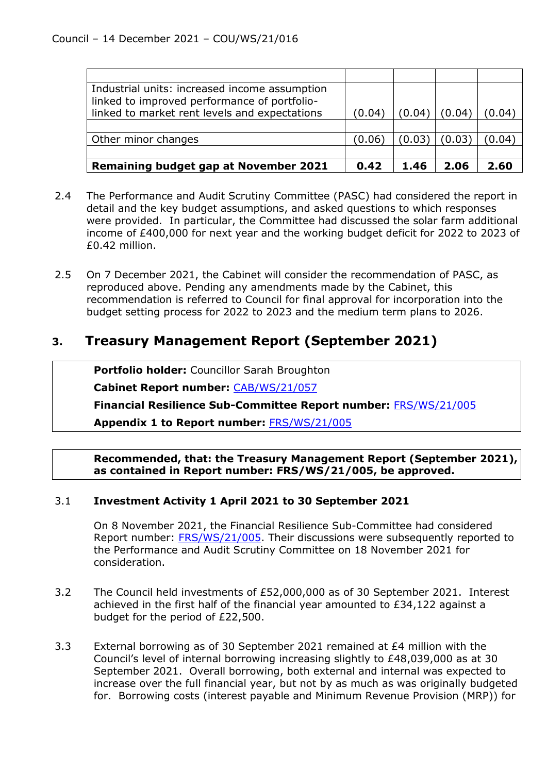| Industrial units: increased income assumption |        |        |        |                          |
|-----------------------------------------------|--------|--------|--------|--------------------------|
| linked to improved performance of portfolio-  |        |        |        |                          |
| linked to market rent levels and expectations | (0.04) | (0.04) | (0.04) | $^{\prime}0.04^{\prime}$ |
|                                               |        |        |        |                          |
| Other minor changes                           | (0.06) | (0.03) | (0.03) | (0.04)                   |
|                                               |        |        |        |                          |
| <b>Remaining budget gap at November 2021</b>  | 0.42   | 1.46   | 2.06   | 2.60                     |

- 2.4 The Performance and Audit Scrutiny Committee (PASC) had considered the report in detail and the key budget assumptions, and asked questions to which responses were provided. In particular, the Committee had discussed the solar farm additional income of £400,000 for next year and the working budget deficit for 2022 to 2023 of £0.42 million.
- 2.5 On 7 December 2021, the Cabinet will consider the recommendation of PASC, as reproduced above. Pending any amendments made by the Cabinet, this recommendation is referred to Council for final approval for incorporation into the budget setting process for 2022 to 2023 and the medium term plans to 2026.

### **3. Treasury Management Report (September 2021)**

**Portfolio holder:** Councillor Sarah Broughton

**Cabinet Report number:** [CAB/WS/21/057](https://democracy.westsuffolk.gov.uk/documents/s42353/CAB.WS.21.057%20Recs%20of%20PASC%2018%20Nov%202021%20-%20Treasury%20Management%20Report%20September%202021.pdf)

**Financial Resilience Sub-Committee Report number:** [FRS/WS/21/005](https://democracy.westsuffolk.gov.uk/documents/s41850/FRS.WS.21.005%20-%20Treasury%20Management%20Report%20-%20September%202021.pdf)

**Appendix 1 to Report number:** [FRS/WS/21/005](https://democracy.westsuffolk.gov.uk/documents/s41938/FRS.WS.21.005%20-%20Appendix%201%20-%20Arlingclose%20Economic%20and%20Interest%20Rate%20Forecast.pdf)

**Recommended, that: the Treasury Management Report (September 2021), as contained in Report number: FRS/WS/21/005, be approved.**

### 3.1 **Investment Activity 1 April 2021 to 30 September 2021**

On 8 November 2021, the Financial Resilience Sub-Committee had considered Report number: [FRS/WS/21/005.](https://democracy.westsuffolk.gov.uk/documents/s41850/FRS.WS.21.005%20-%20Treasury%20Management%20Report%20-%20September%202021.pdf) Their discussions were subsequently reported to the Performance and Audit Scrutiny Committee on 18 November 2021 for consideration.

- 3.2 The Council held investments of £52,000,000 as of 30 September 2021. Interest achieved in the first half of the financial year amounted to £34,122 against a budget for the period of £22,500.
- 3.3 External borrowing as of 30 September 2021 remained at £4 million with the Council's level of internal borrowing increasing slightly to £48,039,000 as at 30 September 2021. Overall borrowing, both external and internal was expected to increase over the full financial year, but not by as much as was originally budgeted for. Borrowing costs (interest payable and Minimum Revenue Provision (MRP)) for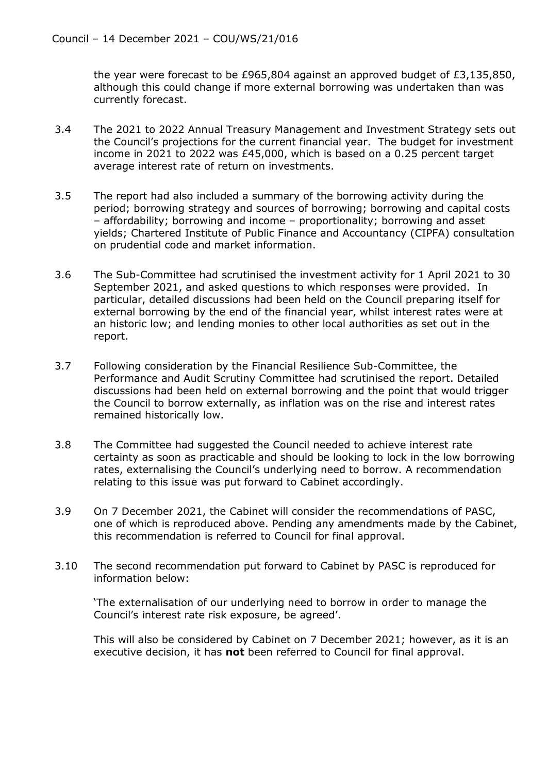the year were forecast to be £965,804 against an approved budget of £3,135,850, although this could change if more external borrowing was undertaken than was currently forecast.

- 3.4 The 2021 to 2022 Annual Treasury Management and Investment Strategy sets out the Council's projections for the current financial year. The budget for investment income in 2021 to 2022 was £45,000, which is based on a 0.25 percent target average interest rate of return on investments.
- 3.5 The report had also included a summary of the borrowing activity during the period; borrowing strategy and sources of borrowing; borrowing and capital costs – affordability; borrowing and income – proportionality; borrowing and asset yields; Chartered Institute of Public Finance and Accountancy (CIPFA) consultation on prudential code and market information.
- 3.6 The Sub-Committee had scrutinised the investment activity for 1 April 2021 to 30 September 2021, and asked questions to which responses were provided. In particular, detailed discussions had been held on the Council preparing itself for external borrowing by the end of the financial year, whilst interest rates were at an historic low; and lending monies to other local authorities as set out in the report.
- 3.7 Following consideration by the Financial Resilience Sub-Committee, the Performance and Audit Scrutiny Committee had scrutinised the report. Detailed discussions had been held on external borrowing and the point that would trigger the Council to borrow externally, as inflation was on the rise and interest rates remained historically low.
- 3.8 The Committee had suggested the Council needed to achieve interest rate certainty as soon as practicable and should be looking to lock in the low borrowing rates, externalising the Council's underlying need to borrow. A recommendation relating to this issue was put forward to Cabinet accordingly.
- 3.9 On 7 December 2021, the Cabinet will consider the recommendations of PASC, one of which is reproduced above. Pending any amendments made by the Cabinet, this recommendation is referred to Council for final approval.
- 3.10 The second recommendation put forward to Cabinet by PASC is reproduced for information below:

'The externalisation of our underlying need to borrow in order to manage the Council's interest rate risk exposure, be agreed'.

This will also be considered by Cabinet on 7 December 2021; however, as it is an executive decision, it has **not** been referred to Council for final approval.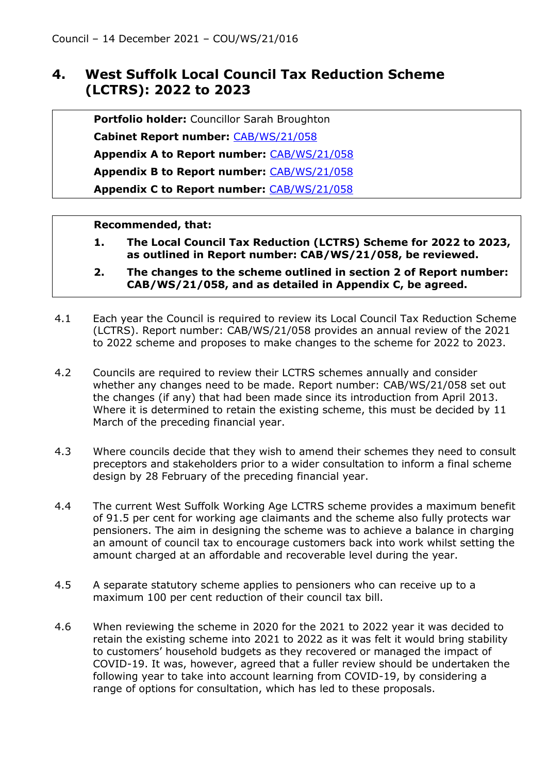### **4. West Suffolk Local Council Tax Reduction Scheme (LCTRS): 2022 to 2023**

**Portfolio holder:** Councillor Sarah Broughton

**Cabinet Report number:** [CAB/WS/21/058](https://democracy.westsuffolk.gov.uk/documents/s42357/CAB.WS.21.058%20West%20Suffolk%20Local%20Council%20Tax%20Reduction%20Scheme%20LCTRS%202022-2023.pdf)

**Appendix A to Report number:** [CAB/WS/21/058](https://democracy.westsuffolk.gov.uk/documents/s42318/CAB.WS.21.058%20Appendix%20A%20WS%20LCTRS%202022-23%20-%20consultation%20responses.pdf)

**Appendix B to Report number:** [CAB/WS/21/058](https://democracy.westsuffolk.gov.uk/documents/s42319/CAB.WS.21.058%20Appendix%20B%20WS%20LCTRS%202022-23%20Equality%20Impact%20Assessment%20Form.pdf)

**Appendix C to Report number:** [CAB/WS/21/058](https://democracy.westsuffolk.gov.uk/documents/s42339/CAB.WS.21.058%20Appendix%20C%20West%20Suffolk%20LCTRS%20scheme%202022-2023.pdf)

- **1. The Local Council Tax Reduction (LCTRS) Scheme for 2022 to 2023, as outlined in Report number: CAB/WS/21/058, be reviewed.**
- **2. The changes to the scheme outlined in section 2 of Report number: CAB/WS/21/058, and as detailed in Appendix C, be agreed.**
- 4.1 Each year the Council is required to review its Local Council Tax Reduction Scheme (LCTRS). Report number: CAB/WS/21/058 provides an annual review of the 2021 to 2022 scheme and proposes to make changes to the scheme for 2022 to 2023.
- 4.2 Councils are required to review their LCTRS schemes annually and consider whether any changes need to be made. Report number: CAB/WS/21/058 set out the changes (if any) that had been made since its introduction from April 2013. Where it is determined to retain the existing scheme, this must be decided by 11 March of the preceding financial year.
- 4.3 Where councils decide that they wish to amend their schemes they need to consult preceptors and stakeholders prior to a wider consultation to inform a final scheme design by 28 February of the preceding financial year.
- 4.4 The current West Suffolk Working Age LCTRS scheme provides a maximum benefit of 91.5 per cent for working age claimants and the scheme also fully protects war pensioners. The aim in designing the scheme was to achieve a balance in charging an amount of council tax to encourage customers back into work whilst setting the amount charged at an affordable and recoverable level during the year.
- 4.5 A separate statutory scheme applies to pensioners who can receive up to a maximum 100 per cent reduction of their council tax bill.
- 4.6 When reviewing the scheme in 2020 for the 2021 to 2022 year it was decided to retain the existing scheme into 2021 to 2022 as it was felt it would bring stability to customers' household budgets as they recovered or managed the impact of COVID-19. It was, however, agreed that a fuller review should be undertaken the following year to take into account learning from COVID-19, by considering a range of options for consultation, which has led to these proposals.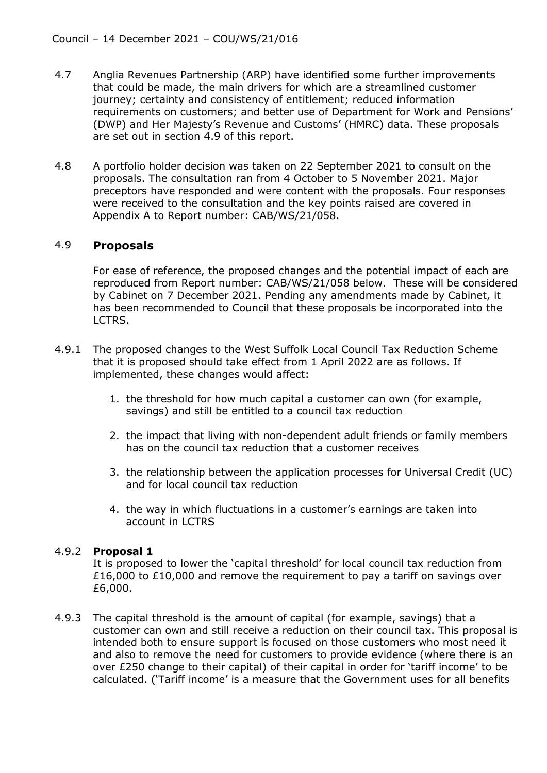- 4.7 Anglia Revenues Partnership (ARP) have identified some further improvements that could be made, the main drivers for which are a streamlined customer journey; certainty and consistency of entitlement; reduced information requirements on customers; and better use of Department for Work and Pensions' (DWP) and Her Majesty's Revenue and Customs' (HMRC) data. These proposals are set out in section 4.9 of this report.
- 4.8 A portfolio holder decision was taken on 22 September 2021 to consult on the proposals. The consultation ran from 4 October to 5 November 2021. Major preceptors have responded and were content with the proposals. Four responses were received to the consultation and the key points raised are covered in Appendix A to Report number: CAB/WS/21/058.

### 4.9 **Proposals**

For ease of reference, the proposed changes and the potential impact of each are reproduced from Report number: CAB/WS/21/058 below. These will be considered by Cabinet on 7 December 2021. Pending any amendments made by Cabinet, it has been recommended to Council that these proposals be incorporated into the LCTRS.

- 4.9.1 The proposed changes to the West Suffolk Local Council Tax Reduction Scheme that it is proposed should take effect from 1 April 2022 are as follows. If implemented, these changes would affect:
	- 1. the threshold for how much capital a customer can own (for example, savings) and still be entitled to a council tax reduction
	- 2. the impact that living with non-dependent adult friends or family members has on the council tax reduction that a customer receives
	- 3. the relationship between the application processes for Universal Credit (UC) and for local council tax reduction
	- 4. the way in which fluctuations in a customer's earnings are taken into account in LCTRS

### 4.9.2 **Proposal 1**

It is proposed to lower the 'capital threshold' for local council tax reduction from £16,000 to £10,000 and remove the requirement to pay a tariff on savings over £6,000.

4.9.3 The capital threshold is the amount of capital (for example, savings) that a customer can own and still receive a reduction on their council tax. This proposal is intended both to ensure support is focused on those customers who most need it and also to remove the need for customers to provide evidence (where there is an over £250 change to their capital) of their capital in order for 'tariff income' to be calculated. ('Tariff income' is a measure that the Government uses for all benefits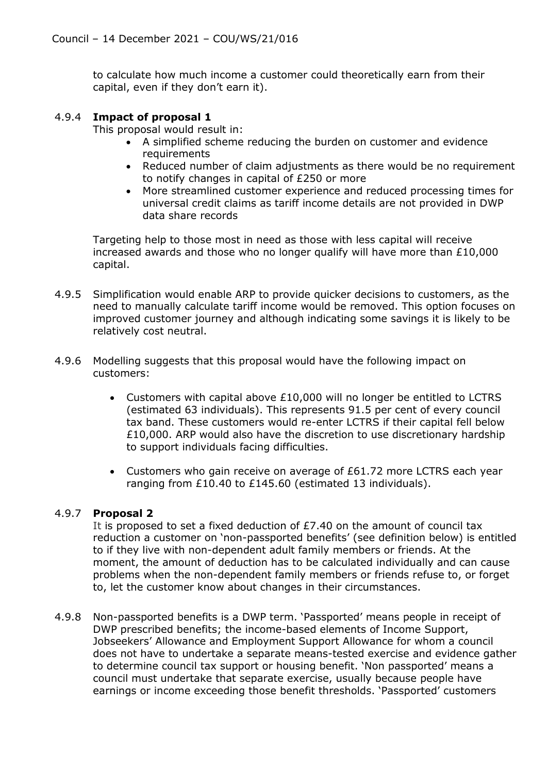to calculate how much income a customer could theoretically earn from their capital, even if they don't earn it).

### 4.9.4 **Impact of proposal 1**

This proposal would result in:

- A simplified scheme reducing the burden on customer and evidence requirements
- Reduced number of claim adjustments as there would be no requirement to notify changes in capital of £250 or more
- More streamlined customer experience and reduced processing times for universal credit claims as tariff income details are not provided in DWP data share records

Targeting help to those most in need as those with less capital will receive increased awards and those who no longer qualify will have more than  $£10,000$ capital.

- 4.9.5 Simplification would enable ARP to provide quicker decisions to customers, as the need to manually calculate tariff income would be removed. This option focuses on improved customer journey and although indicating some savings it is likely to be relatively cost neutral.
- 4.9.6 Modelling suggests that this proposal would have the following impact on customers:
	- Customers with capital above £10,000 will no longer be entitled to LCTRS (estimated 63 individuals). This represents 91.5 per cent of every council tax band. These customers would re-enter LCTRS if their capital fell below £10,000. ARP would also have the discretion to use discretionary hardship to support individuals facing difficulties.
	- Customers who gain receive on average of £61.72 more LCTRS each year ranging from £10.40 to £145.60 (estimated 13 individuals).

### 4.9.7 **Proposal 2**

It is proposed to set a fixed deduction of  $E7.40$  on the amount of council tax reduction a customer on 'non-passported benefits' (see definition below) is entitled to if they live with non-dependent adult family members or friends. At the moment, the amount of deduction has to be calculated individually and can cause problems when the non-dependent family members or friends refuse to, or forget to, let the customer know about changes in their circumstances.

4.9.8 Non-passported benefits is a DWP term. 'Passported' means people in receipt of DWP prescribed benefits; the income-based elements of Income Support, Jobseekers' Allowance and Employment Support Allowance for whom a council does not have to undertake a separate means-tested exercise and evidence gather to determine council tax support or housing benefit. 'Non passported' means a council must undertake that separate exercise, usually because people have earnings or income exceeding those benefit thresholds. 'Passported' customers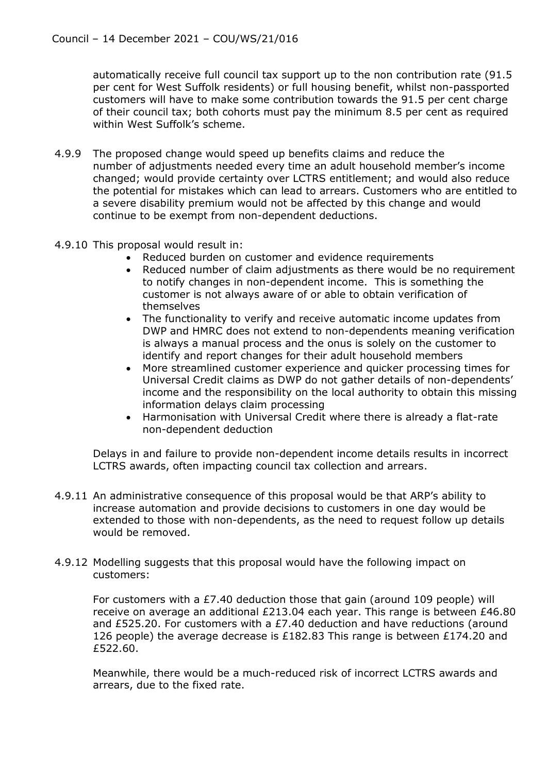automatically receive full council tax support up to the non contribution rate (91.5 per cent for West Suffolk residents) or full housing benefit, whilst non-passported customers will have to make some contribution towards the 91.5 per cent charge of their council tax; both cohorts must pay the minimum 8.5 per cent as required within West Suffolk's scheme.

- 4.9.9 The proposed change would speed up benefits claims and reduce the number of adjustments needed every time an adult household member's income changed; would provide certainty over LCTRS entitlement; and would also reduce the potential for mistakes which can lead to arrears. Customers who are entitled to a severe disability premium would not be affected by this change and would continue to be exempt from non-dependent deductions.
- 4.9.10 This proposal would result in:
	- Reduced burden on customer and evidence requirements
	- Reduced number of claim adjustments as there would be no requirement to notify changes in non-dependent income. This is something the customer is not always aware of or able to obtain verification of themselves
	- The functionality to verify and receive automatic income updates from DWP and HMRC does not extend to non-dependents meaning verification is always a manual process and the onus is solely on the customer to identify and report changes for their adult household members
	- More streamlined customer experience and quicker processing times for Universal Credit claims as DWP do not gather details of non-dependents' income and the responsibility on the local authority to obtain this missing information delays claim processing
	- Harmonisation with Universal Credit where there is already a flat-rate non-dependent deduction

Delays in and failure to provide non-dependent income details results in incorrect LCTRS awards, often impacting council tax collection and arrears.

- 4.9.11 An administrative consequence of this proposal would be that ARP's ability to increase automation and provide decisions to customers in one day would be extended to those with non-dependents, as the need to request follow up details would be removed.
- 4.9.12 Modelling suggests that this proposal would have the following impact on customers:

For customers with a £7.40 deduction those that gain (around 109 people) will receive on average an additional £213.04 each year. This range is between £46.80 and £525.20. For customers with a £7.40 deduction and have reductions (around 126 people) the average decrease is £182.83 This range is between £174.20 and £522.60.

Meanwhile, there would be a much-reduced risk of incorrect LCTRS awards and arrears, due to the fixed rate.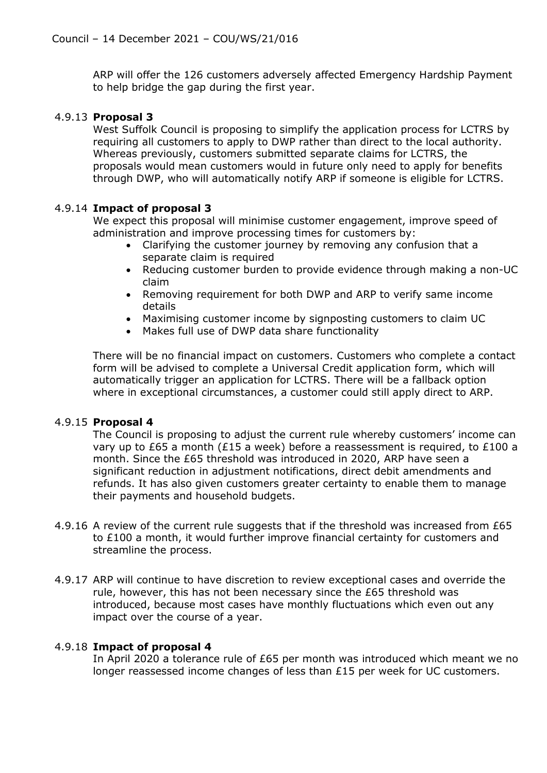ARP will offer the 126 customers adversely affected Emergency Hardship Payment to help bridge the gap during the first year.

### 4.9.13 **Proposal 3**

West Suffolk Council is proposing to simplify the application process for LCTRS by requiring all customers to apply to DWP rather than direct to the local authority. Whereas previously, customers submitted separate claims for LCTRS, the proposals would mean customers would in future only need to apply for benefits through DWP, who will automatically notify ARP if someone is eligible for LCTRS.

### 4.9.14 **Impact of proposal 3**

We expect this proposal will minimise customer engagement, improve speed of administration and improve processing times for customers by:

- Clarifying the customer journey by removing any confusion that a separate claim is required
- Reducing customer burden to provide evidence through making a non-UC claim
- Removing requirement for both DWP and ARP to verify same income details
- Maximising customer income by signposting customers to claim UC
- Makes full use of DWP data share functionality

There will be no financial impact on customers. Customers who complete a contact form will be advised to complete a Universal Credit application form, which will automatically trigger an application for LCTRS. There will be a fallback option where in exceptional circumstances, a customer could still apply direct to ARP.

### 4.9.15 **Proposal 4**

The Council is proposing to adjust the current rule whereby customers' income can vary up to £65 a month (£15 a week) before a reassessment is required, to £100 a month. Since the £65 threshold was introduced in 2020, ARP have seen a significant reduction in adjustment notifications, direct debit amendments and refunds. It has also given customers greater certainty to enable them to manage their payments and household budgets.

- 4.9.16 A review of the current rule suggests that if the threshold was increased from £65 to £100 a month, it would further improve financial certainty for customers and streamline the process.
- 4.9.17 ARP will continue to have discretion to review exceptional cases and override the rule, however, this has not been necessary since the £65 threshold was introduced, because most cases have monthly fluctuations which even out any impact over the course of a year.

### 4.9.18 **Impact of proposal 4**

In April 2020 a tolerance rule of £65 per month was introduced which meant we no longer reassessed income changes of less than £15 per week for UC customers.